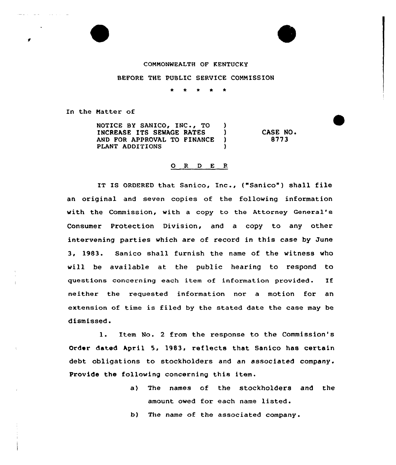## COMMONWEALTH OF KENTUCKY

## BEFORE THE PUBLIC SERVICE CONNISSION

In the Natter of

NOTICE BY SANICO, INC., TO )<br>INCREASE ITS SEWAGE RATES INCREASE ITS SEWAGE RATES (1998)<br>AND FOR APPROVAL TO FINANCE (1998) AND FOR APPROVAL TO FINANCE )<br>PLANT ADDITIONS PLANT ADDITIONS CASE NO. 8773

## 0 <sup>R</sup> <sup>D</sup> E <sup>R</sup>

IT IS ORDERED that Sanico, Inc., ("Sanico") shall file an original and seven copies af the following information with the Commission, with a copy to the Attorney General's Consumer Protection Division, and a copy to any other intervening parties which are of record in this case by June 3, 1983. Sanico shall furnish the name of the witness who will be available at the public hearing to respond to questions concerning each item of information provided. If neither the requested information nor a motion for an extension of time is filed by the stated date the case may be dismissed.

l. Item No. <sup>2</sup> from the response to the Commission's Order dated April 5, 1983, reflects that Sanico has certain debt obligations to stockholders and an associated company. Provide the following concerning this item.

> a) The names of the stockholders and the amount owed for each name listed.

b) The name of the associated company.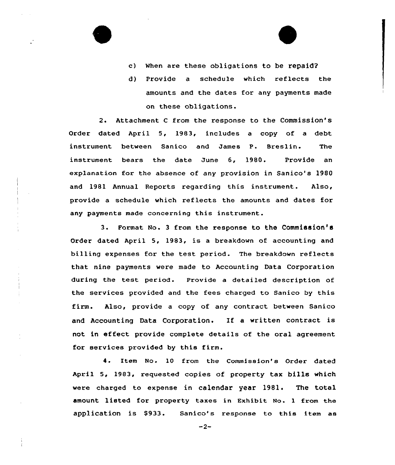- c) When are these obligations to be repaid2
- d) Provide a schedule which reflects the amounts and the dates for any payments made on these obligations.

2. Attachment <sup>C</sup> from the response to the Commission's Order dated April 5, 1983, includes a copy of a debt instrument between Sanico and James P. Breslin. The instrument bears the date June 6, 1980. Provide an explanation for the absence of any provision in Sanico's 1980 and 1981 Annual Reports regarding this instrument. Also, provide a schedule which reflects the amounts and dates for any payments made concerning this instrument.

3. Format No. <sup>3</sup> from the response to the Commission'6 Order dated April 5, 1983, is a breakdown of accounting and billing expenses for the test period. The breakdown reflects that nine payments were made to Accounting Data Corporation during the test period. Provide a detailed description of the services provided and the fees charged to Sanico by this firm. Also, provide a copy of any contract between Banico and Accounting Data Corporation. If <sup>a</sup> written contract is not in effect provide complete details of the oral agreement for services provided by this firm.

4. Item No- 10 from the Commission's Order dated April 5, 1983, requested copies of property tax bills which were charged to expense in calendar year 1981. The total amount listed for property taxes in Exhibit No. <sup>1</sup> from the application is \$933. Sanico's response to this item as

 $-2-$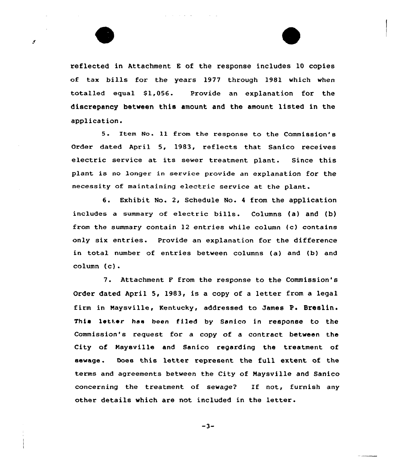reflected in Attachment <sup>E</sup> of the response includes 10 copies of tax bills for the years 1977 through 1981 which when totalled equal S1,056. Provide an explanation for the discrepancy between this amount and the amount listed in the application.

s

5. Item No. Il from the response to the Commission's Order dated April 5, 1983, reflects that Sanico receives electric service at its sewer treatment plant. Since this plant is no longer in service provide an explanation for the necessity of maintaining electric service at the plant.

6. Exhibit No. 2, Schedule No. <sup>4</sup> from the application includes <sup>a</sup> summary of electric bills. Columns (a) and (b) from the summary contain 12 entries while column (c) contains only six entries. Provide an explanation for the difference in total number of entries between columns (a) and (b) and column (c).

7. Attachment <sup>F</sup> from the response to the Commission's Order dated April 5, 1983, is <sup>a</sup> copy of <sup>a</sup> letter from <sup>a</sup> legal firm in Maysville, Kentucky, addressed to James P. Breslin. This letter has been filed by Sanico in response to the Commission's request for a copy of a contract between the City of Naysville and Sanico regarding the treatment of sewage. Does this letter represent the full extent of the terms and agreements between the City of Maysville and Sanico concerning the treatment of sewage? If not, furnish any other details which are not included in the letter.

 $-3-$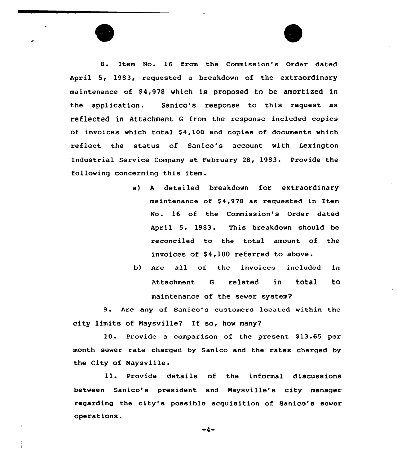8. Item No. 16 from the Commission's Order dated April 5, 1983, requested a breakdown of the extraordinary maintenance of \$4,978 which is proposed to be amortized in the application. Sanico's response to this request as reflected in Attachment <sup>G</sup> from the response included copies of invoices which total  $$4,100$  and copies of documents which reflect the status of Sanico's account with Lexington Industrial Service Company at February 28, 1983. Provide the following concerning this item.

- a) <sup>A</sup> detailed breakdown for extraordinary maintenance of \$4,978 as requested in Item No. 16 of the Commission's Order dated April 5, 1983. This breakdown should be reconciled to the total amount of the invoices of \$4,100 referred to above.
- b) Are all of the invoices included in Attachment <sup>G</sup> related in total to maintenance of the sewer system?

9. Are any of Sanico's customers located within the city limits of Naysville? If so, how many?

10. Provide a comparison of the present \$13.65 per month sewer rate charged by Sanico and the rates charged by the City of Naysville.

ll. Provide details of the informal discussions between Sanico's president and Maysville's city manager regarding the city'e possible acquisition of Sanico's sever operations.

-4-